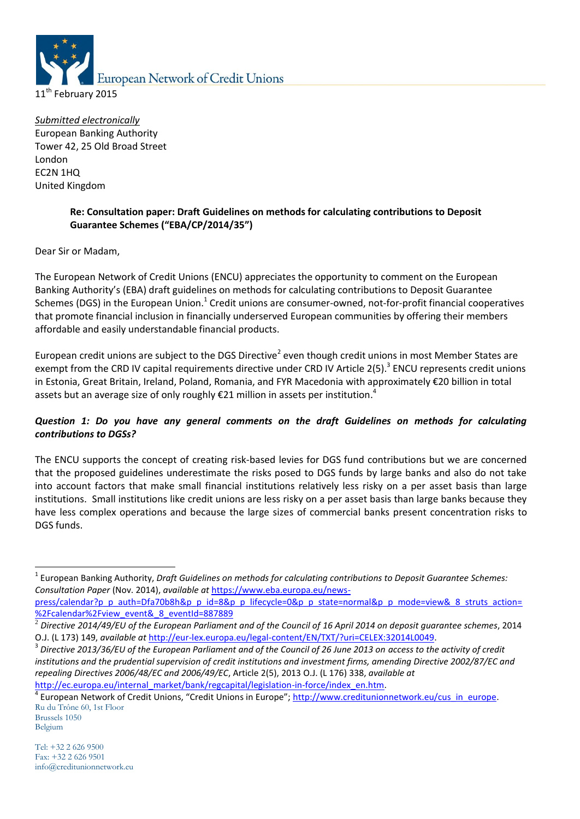

*Submitted electronically* European Banking Authority Tower 42, 25 Old Broad Street London EC2N 1HQ United Kingdom

# **Re: Consultation paper: Draft Guidelines on methods for calculating contributions to Deposit Guarantee Schemes ("EBA/CP/2014/35")**

Dear Sir or Madam,

The European Network of Credit Unions (ENCU) appreciates the opportunity to comment on the European Banking Authority's (EBA) draft guidelines on methods for calculating contributions to Deposit Guarantee Schemes (DGS) in the European Union.<sup>1</sup> Credit unions are consumer-owned, not-for-profit financial cooperatives that promote financial inclusion in financially underserved European communities by offering their members affordable and easily understandable financial products.

European credit unions are subject to the DGS Directive<sup>2</sup> even though credit unions in most Member States are exempt from the CRD IV capital requirements directive under CRD IV Article 2(5).<sup>3</sup> ENCU represents credit unions in Estonia, Great Britain, Ireland, Poland, Romania, and FYR Macedonia with approximately €20 billion in total assets but an average size of only roughly €21 million in assets per institution.<sup>4</sup>

# *Question 1: Do you have any general comments on the draft Guidelines on methods for calculating contributions to DGSs?*

The ENCU supports the concept of creating risk-based levies for DGS fund contributions but we are concerned that the proposed guidelines underestimate the risks posed to DGS funds by large banks and also do not take into account factors that make small financial institutions relatively less risky on a per asset basis than large institutions. Small institutions like credit unions are less risky on a per asset basis than large banks because they have less complex operations and because the large sizes of commercial banks present concentration risks to DGS funds.

[http://ec.europa.eu/internal\\_market/bank/regcapital/legislation-in-force/index\\_en.htm.](http://ec.europa.eu/internal_market/bank/regcapital/legislation-in-force/index_en.htm)

-

<sup>&</sup>lt;sup>1</sup> European Banking Authority, *Draft Guidelines on methods for calculating contributions to Deposit Guarantee Schemes: Consultation Paper* (Nov. 2014), *available at* [https://www.eba.europa.eu/news-](https://www.eba.europa.eu/news-press/calendar?p_p_auth=Dfa70b8h&p_p_id=8&p_p_lifecycle=0&p_p_state=normal&p_p_mode=view&_8_struts_action=%2Fcalendar%2Fview_event&_8_eventId=887889)

[press/calendar?p\\_p\\_auth=Dfa70b8h&p\\_p\\_id=8&p\\_p\\_lifecycle=0&p\\_p\\_state=normal&p\\_p\\_mode=view&\\_8\\_struts\\_action=](https://www.eba.europa.eu/news-press/calendar?p_p_auth=Dfa70b8h&p_p_id=8&p_p_lifecycle=0&p_p_state=normal&p_p_mode=view&_8_struts_action=%2Fcalendar%2Fview_event&_8_eventId=887889) [%2Fcalendar%2Fview\\_event&\\_8\\_eventId=887889](https://www.eba.europa.eu/news-press/calendar?p_p_auth=Dfa70b8h&p_p_id=8&p_p_lifecycle=0&p_p_state=normal&p_p_mode=view&_8_struts_action=%2Fcalendar%2Fview_event&_8_eventId=887889)

<sup>2</sup> *Directive 2014/49/EU of the European Parliament and of the Council of 16 April 2014 on deposit guarantee schemes*, 2014 O.J. (L 173) 149, *available at* [http://eur-lex.europa.eu/legal-content/EN/TXT/?uri=CELEX:32014L0049.](http://eur-lex.europa.eu/legal-content/EN/TXT/?uri=CELEX:32014L0049)

<sup>3</sup> *Directive 2013/36/EU of the European Parliament and of the Council of 26 June 2013 on access to the activity of credit institutions and the prudential supervision of credit institutions and investment firms, amending Directive 2002/87/EC and repealing Directives 2006/48/EC and 2006/49/EC*, Article 2(5), 2013 O.J. (L 176) 338, *available at*

Ru du Trône 60, 1st Floor <sup>4</sup> European Network of Credit Unions, "Credit Unions in Europe"; [http://www.creditunionnetwork.eu/cus\\_in\\_europe.](http://www.creditunionnetwork.eu/cus_in_europe)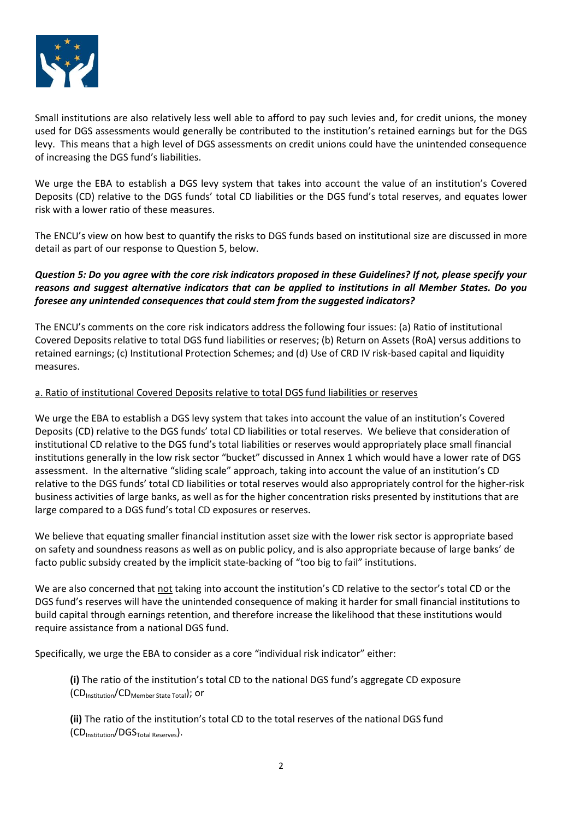

Small institutions are also relatively less well able to afford to pay such levies and, for credit unions, the money used for DGS assessments would generally be contributed to the institution's retained earnings but for the DGS levy. This means that a high level of DGS assessments on credit unions could have the unintended consequence of increasing the DGS fund's liabilities.

We urge the EBA to establish a DGS levy system that takes into account the value of an institution's Covered Deposits (CD) relative to the DGS funds' total CD liabilities or the DGS fund's total reserves, and equates lower risk with a lower ratio of these measures.

The ENCU's view on how best to quantify the risks to DGS funds based on institutional size are discussed in more detail as part of our response to Question 5, below.

## *Question 5: Do you agree with the core risk indicators proposed in these Guidelines? If not, please specify your reasons and suggest alternative indicators that can be applied to institutions in all Member States. Do you foresee any unintended consequences that could stem from the suggested indicators?*

The ENCU's comments on the core risk indicators address the following four issues: (a) Ratio of institutional Covered Deposits relative to total DGS fund liabilities or reserves; (b) Return on Assets (RoA) versus additions to retained earnings; (c) Institutional Protection Schemes; and (d) Use of CRD IV risk-based capital and liquidity measures.

#### a. Ratio of institutional Covered Deposits relative to total DGS fund liabilities or reserves

We urge the EBA to establish a DGS levy system that takes into account the value of an institution's Covered Deposits (CD) relative to the DGS funds' total CD liabilities or total reserves. We believe that consideration of institutional CD relative to the DGS fund's total liabilities or reserves would appropriately place small financial institutions generally in the low risk sector "bucket" discussed in Annex 1 which would have a lower rate of DGS assessment. In the alternative "sliding scale" approach, taking into account the value of an institution's CD relative to the DGS funds' total CD liabilities or total reserves would also appropriately control for the higher-risk business activities of large banks, as well as for the higher concentration risks presented by institutions that are large compared to a DGS fund's total CD exposures or reserves.

We believe that equating smaller financial institution asset size with the lower risk sector is appropriate based on safety and soundness reasons as well as on public policy, and is also appropriate because of large banks' de facto public subsidy created by the implicit state-backing of "too big to fail" institutions.

We are also concerned that not taking into account the institution's CD relative to the sector's total CD or the DGS fund's reserves will have the unintended consequence of making it harder for small financial institutions to build capital through earnings retention, and therefore increase the likelihood that these institutions would require assistance from a national DGS fund.

Specifically, we urge the EBA to consider as a core "individual risk indicator" either:

**(i)** The ratio of the institution's total CD to the national DGS fund's aggregate CD exposure  $(CD<sub>Instruction</sub>/CD<sub>Member State Total</sub>)$ ; or

**(ii)** The ratio of the institution's total CD to the total reserves of the national DGS fund  $(CD<sub>Instruction</sub>/DGS<sub>Total Reverse</sub>)$ .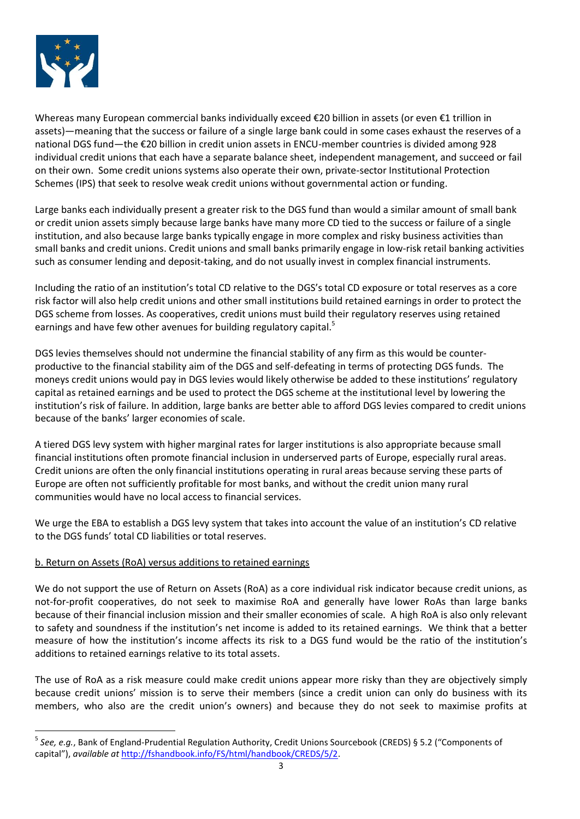

1

Whereas many European commercial banks individually exceed €20 billion in assets (or even €1 trillion in assets)—meaning that the success or failure of a single large bank could in some cases exhaust the reserves of a national DGS fund—the €20 billion in credit union assets in ENCU-member countries is divided among 928 individual credit unions that each have a separate balance sheet, independent management, and succeed or fail on their own. Some credit unions systems also operate their own, private-sector Institutional Protection Schemes (IPS) that seek to resolve weak credit unions without governmental action or funding.

Large banks each individually present a greater risk to the DGS fund than would a similar amount of small bank or credit union assets simply because large banks have many more CD tied to the success or failure of a single institution, and also because large banks typically engage in more complex and risky business activities than small banks and credit unions. Credit unions and small banks primarily engage in low-risk retail banking activities such as consumer lending and deposit-taking, and do not usually invest in complex financial instruments.

Including the ratio of an institution's total CD relative to the DGS's total CD exposure or total reserves as a core risk factor will also help credit unions and other small institutions build retained earnings in order to protect the DGS scheme from losses. As cooperatives, credit unions must build their regulatory reserves using retained earnings and have few other avenues for building regulatory capital.<sup>5</sup>

DGS levies themselves should not undermine the financial stability of any firm as this would be counterproductive to the financial stability aim of the DGS and self-defeating in terms of protecting DGS funds. The moneys credit unions would pay in DGS levies would likely otherwise be added to these institutions' regulatory capital as retained earnings and be used to protect the DGS scheme at the institutional level by lowering the institution's risk of failure. In addition, large banks are better able to afford DGS levies compared to credit unions because of the banks' larger economies of scale.

A tiered DGS levy system with higher marginal rates for larger institutions is also appropriate because small financial institutions often promote financial inclusion in underserved parts of Europe, especially rural areas. Credit unions are often the only financial institutions operating in rural areas because serving these parts of Europe are often not sufficiently profitable for most banks, and without the credit union many rural communities would have no local access to financial services.

We urge the EBA to establish a DGS levy system that takes into account the value of an institution's CD relative to the DGS funds' total CD liabilities or total reserves.

## b. Return on Assets (RoA) versus additions to retained earnings

We do not support the use of Return on Assets (RoA) as a core individual risk indicator because credit unions, as not-for-profit cooperatives, do not seek to maximise RoA and generally have lower RoAs than large banks because of their financial inclusion mission and their smaller economies of scale. A high RoA is also only relevant to safety and soundness if the institution's net income is added to its retained earnings. We think that a better measure of how the institution's income affects its risk to a DGS fund would be the ratio of the institution's additions to retained earnings relative to its total assets.

The use of RoA as a risk measure could make credit unions appear more risky than they are objectively simply because credit unions' mission is to serve their members (since a credit union can only do business with its members, who also are the credit union's owners) and because they do not seek to maximise profits at

<sup>5</sup> *See, e.g.*, Bank of England-Prudential Regulation Authority, Credit Unions Sourcebook (CREDS) § 5.2 ("Components of capital"), *available at* [http://fshandbook.info/FS/html/handbook/CREDS/5/2.](http://fshandbook.info/FS/html/handbook/CREDS/5/2)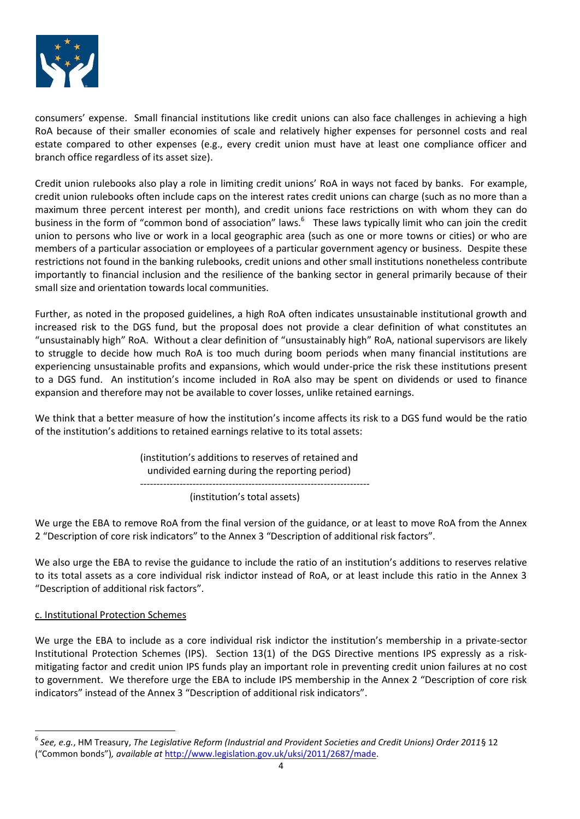

consumers' expense. Small financial institutions like credit unions can also face challenges in achieving a high RoA because of their smaller economies of scale and relatively higher expenses for personnel costs and real estate compared to other expenses (e.g., every credit union must have at least one compliance officer and branch office regardless of its asset size).

Credit union rulebooks also play a role in limiting credit unions' RoA in ways not faced by banks. For example, credit union rulebooks often include caps on the interest rates credit unions can charge (such as no more than a maximum three percent interest per month), and credit unions face restrictions on with whom they can do business in the form of "common bond of association" laws.<sup>6</sup> These laws typically limit who can join the credit union to persons who live or work in a local geographic area (such as one or more towns or cities) or who are members of a particular association or employees of a particular government agency or business. Despite these restrictions not found in the banking rulebooks, credit unions and other small institutions nonetheless contribute importantly to financial inclusion and the resilience of the banking sector in general primarily because of their small size and orientation towards local communities.

Further, as noted in the proposed guidelines, a high RoA often indicates unsustainable institutional growth and increased risk to the DGS fund, but the proposal does not provide a clear definition of what constitutes an "unsustainably high" RoA. Without a clear definition of "unsustainably high" RoA, national supervisors are likely to struggle to decide how much RoA is too much during boom periods when many financial institutions are experiencing unsustainable profits and expansions, which would under-price the risk these institutions present to a DGS fund. An institution's income included in RoA also may be spent on dividends or used to finance expansion and therefore may not be available to cover losses, unlike retained earnings.

We think that a better measure of how the institution's income affects its risk to a DGS fund would be the ratio of the institution's additions to retained earnings relative to its total assets:

> (institution's additions to reserves of retained and undivided earning during the reporting period) ----------------------------------------------------------------------

(institution's total assets)

We urge the EBA to remove RoA from the final version of the guidance, or at least to move RoA from the Annex 2 "Description of core risk indicators" to the Annex 3 "Description of additional risk factors".

We also urge the EBA to revise the guidance to include the ratio of an institution's additions to reserves relative to its total assets as a core individual risk indictor instead of RoA, or at least include this ratio in the Annex 3 "Description of additional risk factors".

#### c. Institutional Protection Schemes

1

We urge the EBA to include as a core individual risk indictor the institution's membership in a private-sector Institutional Protection Schemes (IPS). Section 13(1) of the DGS Directive mentions IPS expressly as a riskmitigating factor and credit union IPS funds play an important role in preventing credit union failures at no cost to government. We therefore urge the EBA to include IPS membership in the Annex 2 "Description of core risk indicators" instead of the Annex 3 "Description of additional risk indicators".

<sup>6</sup> *See, e.g.*, HM Treasury, *The Legislative Reform (Industrial and Provident Societies and Credit Unions) Order 2011*§ 12 ("Common bonds")*, available at* [http://www.legislation.gov.uk/uksi/2011/2687/made.](http://www.legislation.gov.uk/uksi/2011/2687/made)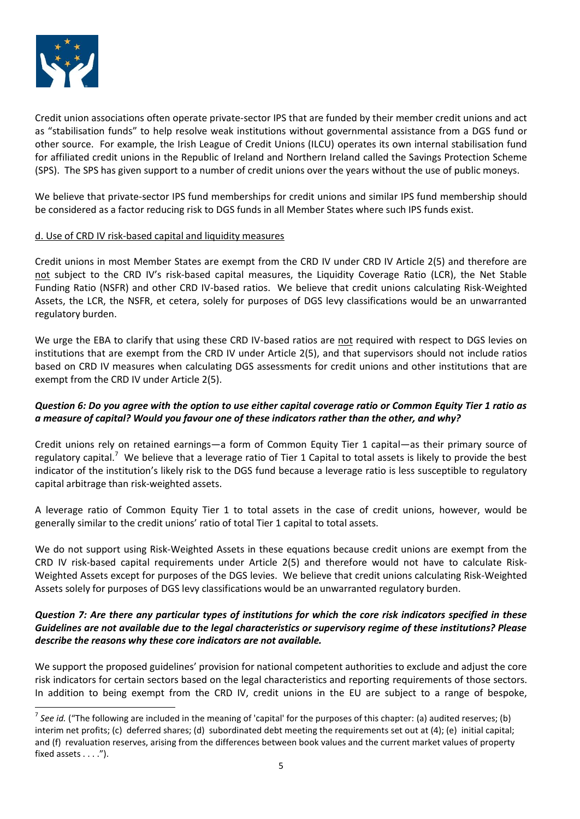

1

Credit union associations often operate private-sector IPS that are funded by their member credit unions and act as "stabilisation funds" to help resolve weak institutions without governmental assistance from a DGS fund or other source. For example, the Irish League of Credit Unions (ILCU) operates its own internal stabilisation fund for affiliated credit unions in the Republic of Ireland and Northern Ireland called the Savings Protection Scheme (SPS). The SPS has given support to a number of credit unions over the years without the use of public moneys.

We believe that private-sector IPS fund memberships for credit unions and similar IPS fund membership should be considered as a factor reducing risk to DGS funds in all Member States where such IPS funds exist.

#### d. Use of CRD IV risk-based capital and liquidity measures

Credit unions in most Member States are exempt from the CRD IV under CRD IV Article 2(5) and therefore are not subject to the CRD IV's risk-based capital measures, the Liquidity Coverage Ratio (LCR), the Net Stable Funding Ratio (NSFR) and other CRD IV-based ratios. We believe that credit unions calculating Risk-Weighted Assets, the LCR, the NSFR, et cetera, solely for purposes of DGS levy classifications would be an unwarranted regulatory burden.

We urge the EBA to clarify that using these CRD IV-based ratios are not required with respect to DGS levies on institutions that are exempt from the CRD IV under Article 2(5), and that supervisors should not include ratios based on CRD IV measures when calculating DGS assessments for credit unions and other institutions that are exempt from the CRD IV under Article 2(5).

## *Question 6: Do you agree with the option to use either capital coverage ratio or Common Equity Tier 1 ratio as a measure of capital? Would you favour one of these indicators rather than the other, and why?*

Credit unions rely on retained earnings—a form of Common Equity Tier 1 capital—as their primary source of regulatory capital.<sup>7</sup> We believe that a leverage ratio of Tier 1 Capital to total assets is likely to provide the best indicator of the institution's likely risk to the DGS fund because a leverage ratio is less susceptible to regulatory capital arbitrage than risk-weighted assets.

A leverage ratio of Common Equity Tier 1 to total assets in the case of credit unions, however, would be generally similar to the credit unions' ratio of total Tier 1 capital to total assets.

We do not support using Risk-Weighted Assets in these equations because credit unions are exempt from the CRD IV risk-based capital requirements under Article 2(5) and therefore would not have to calculate Risk-Weighted Assets except for purposes of the DGS levies. We believe that credit unions calculating Risk-Weighted Assets solely for purposes of DGS levy classifications would be an unwarranted regulatory burden.

## *Question 7: Are there any particular types of institutions for which the core risk indicators specified in these Guidelines are not available due to the legal characteristics or supervisory regime of these institutions? Please describe the reasons why these core indicators are not available.*

We support the proposed guidelines' provision for national competent authorities to exclude and adjust the core risk indicators for certain sectors based on the legal characteristics and reporting requirements of those sectors. In addition to being exempt from the CRD IV, credit unions in the EU are subject to a range of bespoke,

<sup>&</sup>lt;sup>7</sup> See id. ("The following are included in the meaning of 'capital' for the purposes of this chapter: (a) audited reserves; (b) interim net profits; (c) deferred shares; (d) subordinated debt meeting the requirements set out at (4); (e) initial capital; and (f) revaluation reserves, arising from the differences between book values and the current market values of property fixed assets . . . .").